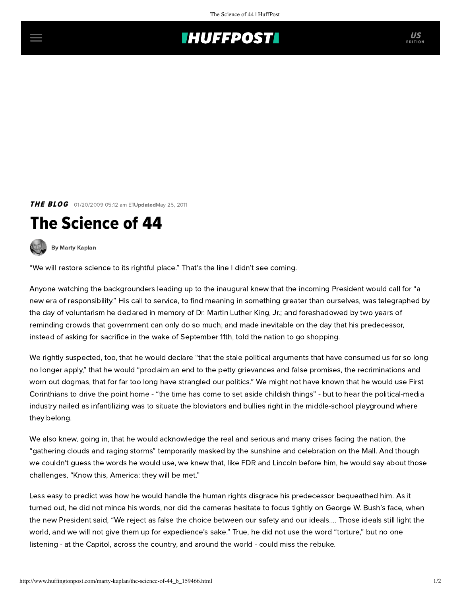## **THUFFPOSTI** US

**THE BLOG** 01/20/2009 05:12 am EITUpdatedMay 25, 2011

## The Science of 44

[By Marty Kaplan](http://www.huffingtonpost.com/author/marty-kaplan)

"We will restore science to its rightful place." That's the line I didn't see coming.

Anyone watching the backgrounders leading up to the inaugural knew that the incoming President would call for "a new era of responsibility." His call to service, to find meaning in something greater than ourselves, was telegraphed by the day of voluntarism he declared in memory of Dr. Martin Luther King, Jr.; and foreshadowed by two years of reminding crowds that government can only do so much; and made inevitable on the day that his predecessor, instead of asking for sacrifice in the wake of September 11th, told the nation to go shopping.

We rightly suspected, too, that he would declare "that the stale political arguments that have consumed us for so long no longer apply," that he would "proclaim an end to the petty grievances and false promises, the recriminations and worn out dogmas, that for far too long have strangled our politics." We might not have known that he would use First Corinthians to drive the point home - "the time has come to set aside childish things" - but to hear the political-media industry nailed as infantilizing was to situate the bloviators and bullies right in the middle-school playground where they belong.

We also knew, going in, that he would acknowledge the real and serious and many crises facing the nation, the "gathering clouds and raging storms" temporarily masked by the sunshine and celebration on the Mall. And though we couldn't guess the words he would use, we knew that, like FDR and Lincoln before him, he would say about those challenges, "Know this, America: they will be met."

Less easy to predict was how he would handle the human rights disgrace his predecessor bequeathed him. As it turned out, he did not mince his words, nor did the cameras hesitate to focus tightly on George W. Bush's face, when the new President said, "We reject as false the choice between our safety and our ideals.... Those ideals still light the world, and we will not give them up for expedience's sake." True, he did not use the word "torture," but no one listening - at the Capitol, across the country, and around the world - could miss the rebuke.